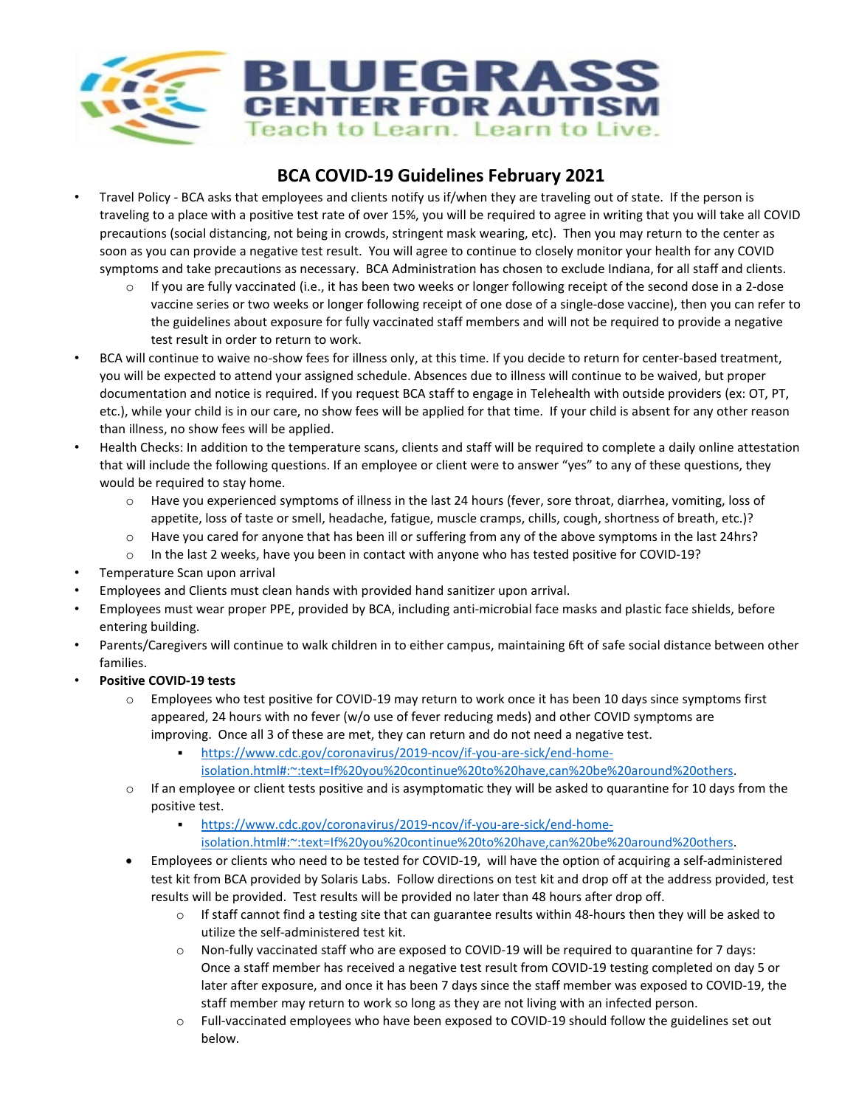

# **BCA COVID-19 Guidelines February 2021**

- Travel Policy BCA asks that employees and clients notify us if/when they are traveling out of state. If the person is traveling to a place with a positive test rate of over 15%, you will be required to agree in writing that you will take all COVID precautions (social distancing, not being in crowds, stringent mask wearing, etc). Then you may return to the center as soon as you can provide a negative test result. You will agree to continue to closely monitor your health for any COVID symptoms and take precautions as necessary. BCA Administration has chosen to exclude Indiana, for all staff and clients.
	- If you are fully vaccinated (i.e., it has been two weeks or longer following receipt of the second dose in a 2-dose vaccine series or two weeks or longer following receipt of one dose of a single-dose vaccine), then you can refer to the guidelines about exposure for fully vaccinated staff members and will not be required to provide a negative test result in order to return to work.
- BCA will continue to waive no-show fees for illness only, at this time. If you decide to return for center-based treatment, you will be expected to attend your assigned schedule. Absences due to illness will continue to be waived, but proper documentation and notice is required. If you request BCA staff to engage in Telehealth with outside providers (ex: OT, PT, etc.), while your child is in our care, no show fees will be applied for that time. If your child is absent for any other reason than illness, no show fees will be applied.
- Health Checks: In addition to the temperature scans, clients and staff will be required to complete a daily online attestation that will include the following questions. If an employee or client were to answer "yes" to any of these questions, they would be required to stay home.
	- o Have you experienced symptoms of illness in the last 24 hours (fever, sore throat, diarrhea, vomiting, loss of appetite, loss of taste or smell, headache, fatigue, muscle cramps, chills, cough, shortness of breath, etc.)?
	- o Have you cared for anyone that has been ill or suffering from any of the above symptoms in the last 24hrs?
	- $\circ$  In the last 2 weeks, have you been in contact with anyone who has tested positive for COVID-19?
- Temperature Scan upon arrival
- Employees and Clients must clean hands with provided hand sanitizer upon arrival.
- Employees must wear proper PPE, provided by BCA, including anti-microbial face masks and plastic face shields, before entering building.
- Parents/Caregivers will continue to walk children in to either campus, maintaining 6ft of safe social distance between other families.
- **Positive COVID-19 tests** 
	- o Employees who test positive for COVID-19 may return to work once it has been 10 days since symptoms first appeared, 24 hours with no fever (w/o use of fever reducing meds) and other COVID symptoms are improving. Once all 3 of these are met, they can return and do not need a negative test.
		- [https://www.cdc.gov/coronavirus/2019-ncov/if-you-are-sick/end-home](https://www.cdc.gov/coronavirus/2019-ncov/if-you-are-sick/end-home-isolation.html#:%7E:text=If%20you%20continue%20to%20have,can%20be%20around%20others)
			- [isolation.html#:~:text=If%20you%20continue%20to%20have,can%20be%20around%20others.](https://www.cdc.gov/coronavirus/2019-ncov/if-you-are-sick/end-home-isolation.html#:%7E:text=If%20you%20continue%20to%20have,can%20be%20around%20others)
	- $\circ$  If an employee or client tests positive and is asymptomatic they will be asked to quarantine for 10 days from the positive test.
		- [https://www.cdc.gov/coronavirus/2019-ncov/if-you-are-sick/end-home](https://www.cdc.gov/coronavirus/2019-ncov/if-you-are-sick/end-home-isolation.html#:%7E:text=If%20you%20continue%20to%20have,can%20be%20around%20others)[isolation.html#:~:text=If%20you%20continue%20to%20have,can%20be%20around%20others.](https://www.cdc.gov/coronavirus/2019-ncov/if-you-are-sick/end-home-isolation.html#:%7E:text=If%20you%20continue%20to%20have,can%20be%20around%20others)
	- Employees or clients who need to be tested for COVID-19, will have the option of acquiring a self-administered test kit from BCA provided by Solaris Labs. Follow directions on test kit and drop off at the address provided, test results will be provided. Test results will be provided no later than 48 hours after drop off.
		- $\circ$  If staff cannot find a testing site that can guarantee results within 48-hours then they will be asked to utilize the self-administered test kit.
		- o Non-fully vaccinated staff who are exposed to COVID-19 will be required to quarantine for 7 days: Once a staff member has received a negative test result from COVID-19 testing completed on day 5 or later after exposure, and once it has been 7 days since the staff member was exposed to COVID-19, the staff member may return to work so long as they are not living with an infected person.
		- o Full-vaccinated employees who have been exposed to COVID-19 should follow the guidelines set out below.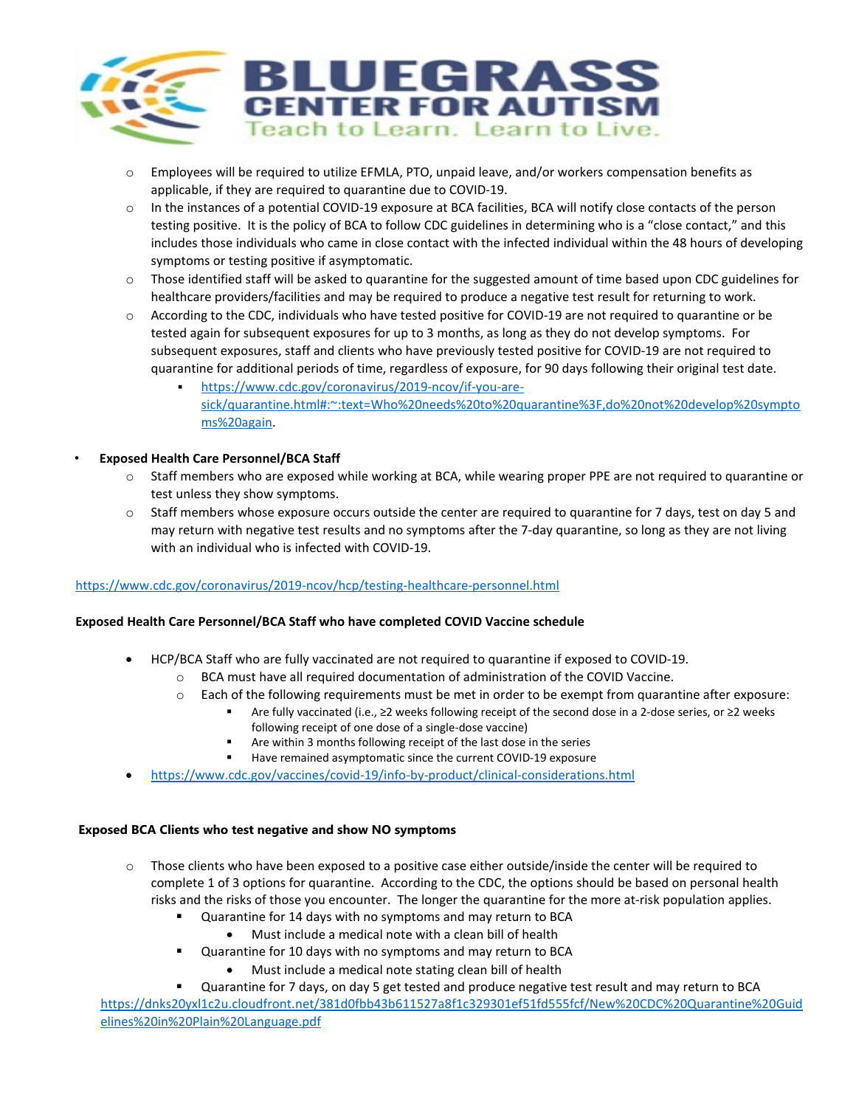

- o Employees will be required to utilize EFMLA, PTO, unpaid leave, and/or workers compensation benefits as applicable, if they are required to quarantine due to COVID-19.
- o In the instances of a potential COVID-19 exposure at BCA facilities, BCA will notify close contacts of the person testing positive. It is the policy of BCA to follow CDC guidelines in determining who is a "close contact," and this includes those individuals who came in close contact with the infected individual within the 48 hours of developing symptoms or testing positive if asymptomatic.
- $\circ$  Those identified staff will be asked to quarantine for the suggested amount of time based upon CDC guidelines for healthcare providers/facilities and may be required to produce a negative test result for returning to work.
- o According to the CDC, individuals who have tested positive for COVID-19 are not required to quarantine or be tested again for subsequent exposures for up to 3 months, as long as they do not develop symptoms. For subsequent exposures, staff and clients who have previously tested positive for COVID-19 are not required to quarantine for additional periods of time, regardless of exposure, for 90 days following their original test date.
	- [https://www.cdc.gov/coronavirus/2019-ncov/if-you-are](https://www.cdc.gov/coronavirus/2019-ncov/if-you-are-sick/quarantine.html#:%7E:text=Who%20needs%20to%20quarantine%3F,do%20not%20develop%20symptoms%20again)[sick/quarantine.html#:~:text=Who%20needs%20to%20quarantine%3F,do%20not%20develop%20sympto](https://www.cdc.gov/coronavirus/2019-ncov/if-you-are-sick/quarantine.html#:%7E:text=Who%20needs%20to%20quarantine%3F,do%20not%20develop%20symptoms%20again) [ms%20again.](https://www.cdc.gov/coronavirus/2019-ncov/if-you-are-sick/quarantine.html#:%7E:text=Who%20needs%20to%20quarantine%3F,do%20not%20develop%20symptoms%20again)

### • **Exposed Health Care Personnel/BCA Staff**

- o Staff members who are exposed while working at BCA, while wearing proper PPE are not required to quarantine or test unless they show symptoms.
- $\circ$  Staff members whose exposure occurs outside the center are required to quarantine for 7 days, test on day 5 and may return with negative test results and no symptoms after the 7-day quarantine, so long as they are not living with an individual who is infected with COVID-19.

#### <https://www.cdc.gov/coronavirus/2019-ncov/hcp/testing-healthcare-personnel.html>

#### **Exposed Health Care Personnel/BCA Staff who have completed COVID Vaccine schedule**

- HCP/BCA Staff who are fully vaccinated are not required to quarantine if exposed to COVID-19.
	- o BCA must have all required documentation of administration of the COVID Vaccine.
	- o Each of the following requirements must be met in order to be exempt from quarantine after exposure:
		- Are fully vaccinated (i.e., ≥2 weeks following receipt of the second dose in a 2-dose series, or ≥2 weeks following receipt of one dose of a single-dose vaccine)
		- Are within 3 months following receipt of the last dose in the series
		- Have remained asymptomatic since the current COVID-19 exposure
- <https://www.cdc.gov/vaccines/covid-19/info-by-product/clinical-considerations.html>

#### **Exposed BCA Clients who test negative and show NO symptoms**

- $\circ$  Those clients who have been exposed to a positive case either outside/inside the center will be required to complete 1 of 3 options for quarantine. According to the CDC, the options should be based on personal health risks and the risks of those you encounter. The longer the quarantine for the more at-risk population applies.
	- Quarantine for 14 days with no symptoms and may return to BCA
		- Must include a medical note with a clean bill of health
	- Quarantine for 10 days with no symptoms and may return to BCA
		- Must include a medical note stating clean bill of health

 Quarantine for 7 days, on day 5 get tested and produce negative test result and may return to BCA [https://dnks20yxl1c2u.cloudfront.net/381d0fbb43b611527a8f1c329301ef51fd555fcf/New%20CDC%20Quarantine%20Guid](https://dnks20yxl1c2u.cloudfront.net/381d0fbb43b611527a8f1c329301ef51fd555fcf/New%20CDC%20Quarantine%20Guidelines%20in%20Plain%20Language.pdf) [elines%20in%20Plain%20Language.pdf](https://dnks20yxl1c2u.cloudfront.net/381d0fbb43b611527a8f1c329301ef51fd555fcf/New%20CDC%20Quarantine%20Guidelines%20in%20Plain%20Language.pdf)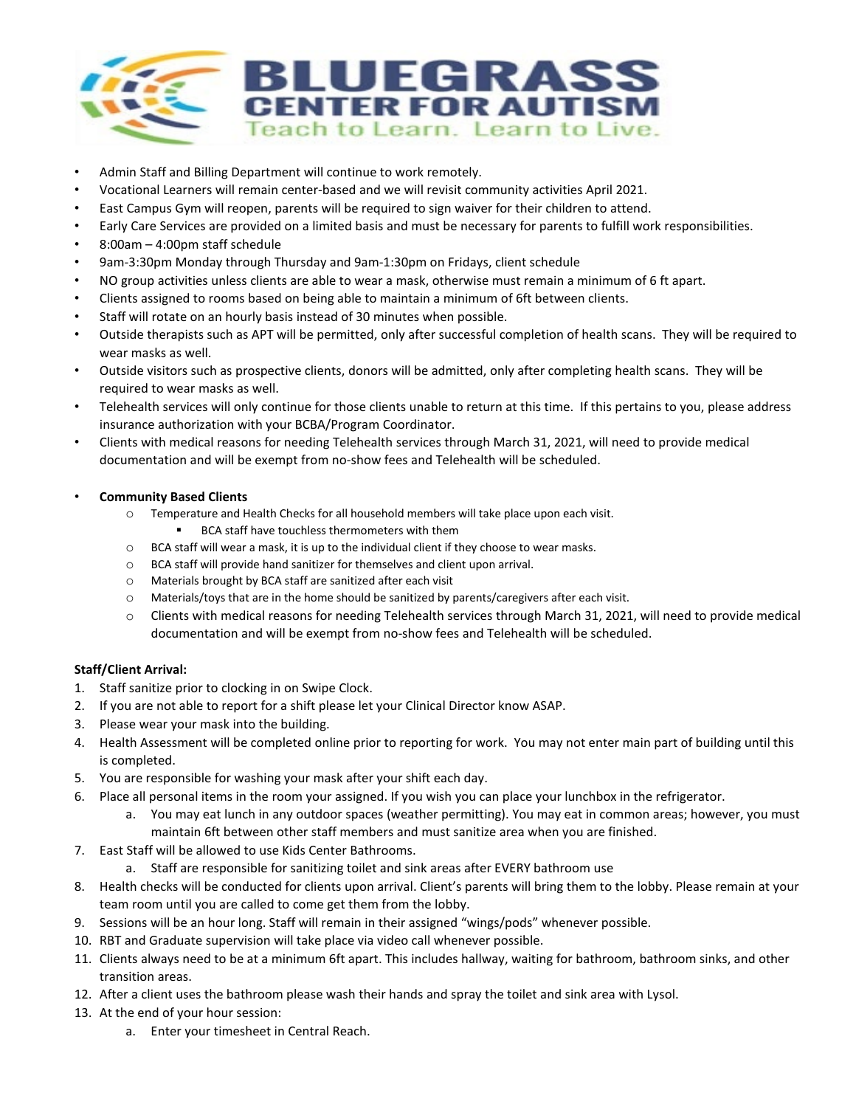

- Admin Staff and Billing Department will continue to work remotely.
- Vocational Learners will remain center-based and we will revisit community activities April 2021.
- East Campus Gym will reopen, parents will be required to sign waiver for their children to attend.
- Early Care Services are provided on a limited basis and must be necessary for parents to fulfill work responsibilities.
- 8:00am 4:00pm staff schedule
- 9am-3:30pm Monday through Thursday and 9am-1:30pm on Fridays, client schedule
- NO group activities unless clients are able to wear a mask, otherwise must remain a minimum of 6 ft apart.
- Clients assigned to rooms based on being able to maintain a minimum of 6ft between clients.
- Staff will rotate on an hourly basis instead of 30 minutes when possible.
- Outside therapists such as APT will be permitted, only after successful completion of health scans. They will be required to wear masks as well.
- Outside visitors such as prospective clients, donors will be admitted, only after completing health scans. They will be required to wear masks as well.
- Telehealth services will only continue for those clients unable to return at this time. If this pertains to you, please address insurance authorization with your BCBA/Program Coordinator.
- Clients with medical reasons for needing Telehealth services through March 31, 2021, will need to provide medical documentation and will be exempt from no-show fees and Telehealth will be scheduled.
- **Community Based Clients** 
	- o Temperature and Health Checks for all household members will take place upon each visit.
		- BCA staff have touchless thermometers with them
	- o BCA staff will wear a mask, it is up to the individual client if they choose to wear masks.
	- o BCA staff will provide hand sanitizer for themselves and client upon arrival.
	- o Materials brought by BCA staff are sanitized after each visit
	- o Materials/toys that are in the home should be sanitized by parents/caregivers after each visit.
	- o Clients with medical reasons for needing Telehealth services through March 31, 2021, will need to provide medical documentation and will be exempt from no-show fees and Telehealth will be scheduled.

## **Staff/Client Arrival:**

- 1. Staff sanitize prior to clocking in on Swipe Clock.
- 2. If you are not able to report for a shift please let your Clinical Director know ASAP.
- 3. Please wear your mask into the building.
- 4. Health Assessment will be completed online prior to reporting for work. You may not enter main part of building until this is completed.
- 5. You are responsible for washing your mask after your shift each day.
- 6. Place all personal items in the room your assigned. If you wish you can place your lunchbox in the refrigerator.
	- a. You may eat lunch in any outdoor spaces (weather permitting). You may eat in common areas; however, you must maintain 6ft between other staff members and must sanitize area when you are finished.
- 7. East Staff will be allowed to use Kids Center Bathrooms.
	- a. Staff are responsible for sanitizing toilet and sink areas after EVERY bathroom use
- 8. Health checks will be conducted for clients upon arrival. Client's parents will bring them to the lobby. Please remain at your team room until you are called to come get them from the lobby.
- 9. Sessions will be an hour long. Staff will remain in their assigned "wings/pods" whenever possible.
- 10. RBT and Graduate supervision will take place via video call whenever possible.
- 11. Clients always need to be at a minimum 6ft apart. This includes hallway, waiting for bathroom, bathroom sinks, and other transition areas.
- 12. After a client uses the bathroom please wash their hands and spray the toilet and sink area with Lysol.
- 13. At the end of your hour session:
	- a. Enter your timesheet in Central Reach.